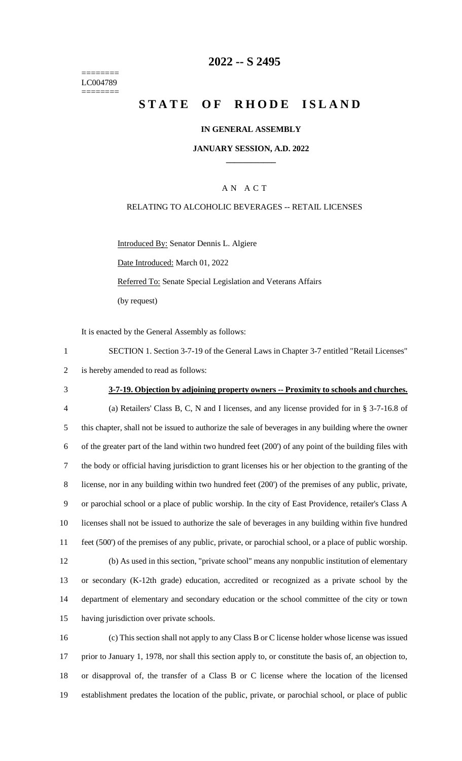======== LC004789 ========

## **2022 -- S 2495**

# **STATE OF RHODE ISLAND**

### **IN GENERAL ASSEMBLY**

#### **JANUARY SESSION, A.D. 2022 \_\_\_\_\_\_\_\_\_\_\_\_**

## A N A C T

#### RELATING TO ALCOHOLIC BEVERAGES -- RETAIL LICENSES

Introduced By: Senator Dennis L. Algiere Date Introduced: March 01, 2022 Referred To: Senate Special Legislation and Veterans Affairs (by request)

It is enacted by the General Assembly as follows:

1 SECTION 1. Section 3-7-19 of the General Laws in Chapter 3-7 entitled "Retail Licenses" 2 is hereby amended to read as follows:

#### 3 **3-7-19. Objection by adjoining property owners -- Proximity to schools and churches.**

 (a) Retailers' Class B, C, N and I licenses, and any license provided for in § 3-7-16.8 of this chapter, shall not be issued to authorize the sale of beverages in any building where the owner of the greater part of the land within two hundred feet (200') of any point of the building files with the body or official having jurisdiction to grant licenses his or her objection to the granting of the license, nor in any building within two hundred feet (200') of the premises of any public, private, or parochial school or a place of public worship. In the city of East Providence, retailer's Class A licenses shall not be issued to authorize the sale of beverages in any building within five hundred feet (500') of the premises of any public, private, or parochial school, or a place of public worship. (b) As used in this section, "private school" means any nonpublic institution of elementary or secondary (K-12th grade) education, accredited or recognized as a private school by the department of elementary and secondary education or the school committee of the city or town having jurisdiction over private schools.

 (c) This section shall not apply to any Class B or C license holder whose license was issued prior to January 1, 1978, nor shall this section apply to, or constitute the basis of, an objection to, or disapproval of, the transfer of a Class B or C license where the location of the licensed establishment predates the location of the public, private, or parochial school, or place of public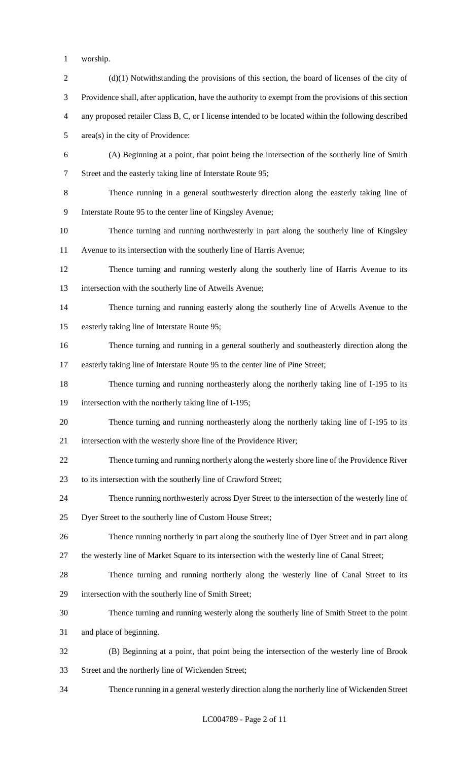- worship.
- 2 (d)(1) Notwithstanding the provisions of this section, the board of licenses of the city of Providence shall, after application, have the authority to exempt from the provisions of this section any proposed retailer Class B, C, or I license intended to be located within the following described area(s) in the city of Providence: (A) Beginning at a point, that point being the intersection of the southerly line of Smith Street and the easterly taking line of Interstate Route 95; Thence running in a general southwesterly direction along the easterly taking line of Interstate Route 95 to the center line of Kingsley Avenue; Thence turning and running northwesterly in part along the southerly line of Kingsley Avenue to its intersection with the southerly line of Harris Avenue; Thence turning and running westerly along the southerly line of Harris Avenue to its intersection with the southerly line of Atwells Avenue; Thence turning and running easterly along the southerly line of Atwells Avenue to the easterly taking line of Interstate Route 95; Thence turning and running in a general southerly and southeasterly direction along the easterly taking line of Interstate Route 95 to the center line of Pine Street; Thence turning and running northeasterly along the northerly taking line of I-195 to its intersection with the northerly taking line of I-195; Thence turning and running northeasterly along the northerly taking line of I-195 to its intersection with the westerly shore line of the Providence River; Thence turning and running northerly along the westerly shore line of the Providence River to its intersection with the southerly line of Crawford Street; Thence running northwesterly across Dyer Street to the intersection of the westerly line of Dyer Street to the southerly line of Custom House Street; Thence running northerly in part along the southerly line of Dyer Street and in part along the westerly line of Market Square to its intersection with the westerly line of Canal Street; Thence turning and running northerly along the westerly line of Canal Street to its intersection with the southerly line of Smith Street; Thence turning and running westerly along the southerly line of Smith Street to the point and place of beginning. (B) Beginning at a point, that point being the intersection of the westerly line of Brook Street and the northerly line of Wickenden Street; Thence running in a general westerly direction along the northerly line of Wickenden Street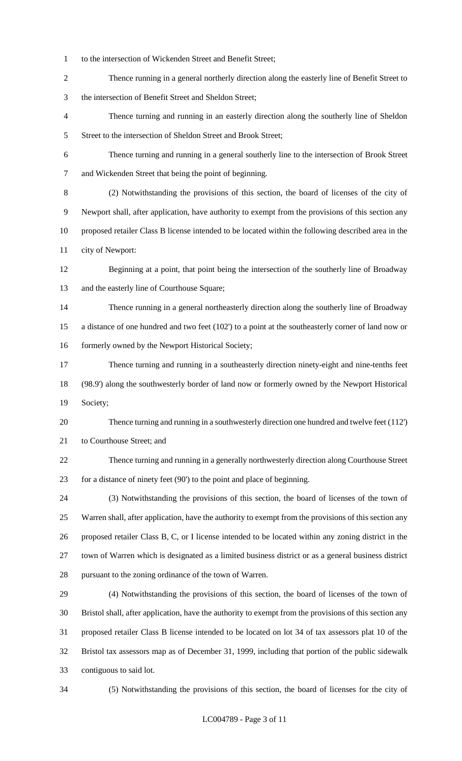- to the intersection of Wickenden Street and Benefit Street;
- Thence running in a general northerly direction along the easterly line of Benefit Street to the intersection of Benefit Street and Sheldon Street;
- Thence turning and running in an easterly direction along the southerly line of Sheldon 5 Street to the intersection of Sheldon Street and Brook Street;
- Thence turning and running in a general southerly line to the intersection of Brook Street and Wickenden Street that being the point of beginning.
- (2) Notwithstanding the provisions of this section, the board of licenses of the city of Newport shall, after application, have authority to exempt from the provisions of this section any proposed retailer Class B license intended to be located within the following described area in the city of Newport:
- Beginning at a point, that point being the intersection of the southerly line of Broadway and the easterly line of Courthouse Square;
- Thence running in a general northeasterly direction along the southerly line of Broadway a distance of one hundred and two feet (102') to a point at the southeasterly corner of land now or 16 formerly owned by the Newport Historical Society;
- Thence turning and running in a southeasterly direction ninety-eight and nine-tenths feet (98.9') along the southwesterly border of land now or formerly owned by the Newport Historical Society;
- Thence turning and running in a southwesterly direction one hundred and twelve feet (112') to Courthouse Street; and
- Thence turning and running in a generally northwesterly direction along Courthouse Street for a distance of ninety feet (90') to the point and place of beginning.
- (3) Notwithstanding the provisions of this section, the board of licenses of the town of Warren shall, after application, have the authority to exempt from the provisions of this section any proposed retailer Class B, C, or I license intended to be located within any zoning district in the town of Warren which is designated as a limited business district or as a general business district pursuant to the zoning ordinance of the town of Warren.
- (4) Notwithstanding the provisions of this section, the board of licenses of the town of Bristol shall, after application, have the authority to exempt from the provisions of this section any proposed retailer Class B license intended to be located on lot 34 of tax assessors plat 10 of the Bristol tax assessors map as of December 31, 1999, including that portion of the public sidewalk contiguous to said lot.
- 

(5) Notwithstanding the provisions of this section, the board of licenses for the city of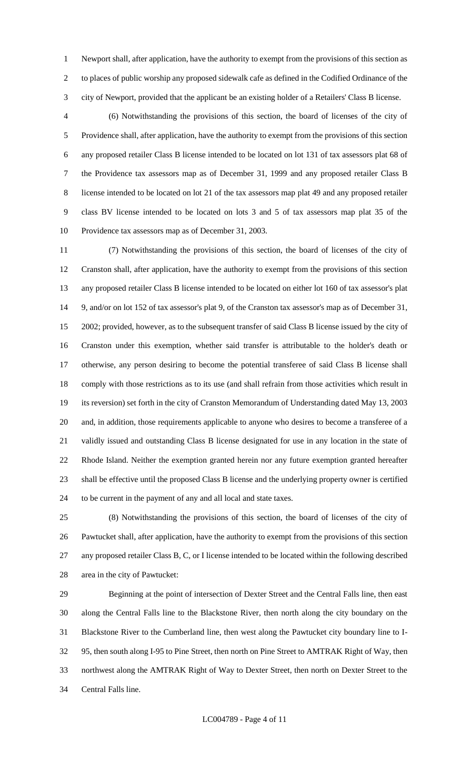Newport shall, after application, have the authority to exempt from the provisions of this section as to places of public worship any proposed sidewalk cafe as defined in the Codified Ordinance of the city of Newport, provided that the applicant be an existing holder of a Retailers' Class B license.

 (6) Notwithstanding the provisions of this section, the board of licenses of the city of Providence shall, after application, have the authority to exempt from the provisions of this section any proposed retailer Class B license intended to be located on lot 131 of tax assessors plat 68 of the Providence tax assessors map as of December 31, 1999 and any proposed retailer Class B license intended to be located on lot 21 of the tax assessors map plat 49 and any proposed retailer class BV license intended to be located on lots 3 and 5 of tax assessors map plat 35 of the Providence tax assessors map as of December 31, 2003.

 (7) Notwithstanding the provisions of this section, the board of licenses of the city of Cranston shall, after application, have the authority to exempt from the provisions of this section any proposed retailer Class B license intended to be located on either lot 160 of tax assessor's plat 9, and/or on lot 152 of tax assessor's plat 9, of the Cranston tax assessor's map as of December 31, 2002; provided, however, as to the subsequent transfer of said Class B license issued by the city of Cranston under this exemption, whether said transfer is attributable to the holder's death or otherwise, any person desiring to become the potential transferee of said Class B license shall comply with those restrictions as to its use (and shall refrain from those activities which result in its reversion) set forth in the city of Cranston Memorandum of Understanding dated May 13, 2003 and, in addition, those requirements applicable to anyone who desires to become a transferee of a validly issued and outstanding Class B license designated for use in any location in the state of Rhode Island. Neither the exemption granted herein nor any future exemption granted hereafter shall be effective until the proposed Class B license and the underlying property owner is certified to be current in the payment of any and all local and state taxes.

 (8) Notwithstanding the provisions of this section, the board of licenses of the city of Pawtucket shall, after application, have the authority to exempt from the provisions of this section any proposed retailer Class B, C, or I license intended to be located within the following described area in the city of Pawtucket:

 Beginning at the point of intersection of Dexter Street and the Central Falls line, then east along the Central Falls line to the Blackstone River, then north along the city boundary on the Blackstone River to the Cumberland line, then west along the Pawtucket city boundary line to I- 95, then south along I-95 to Pine Street, then north on Pine Street to AMTRAK Right of Way, then northwest along the AMTRAK Right of Way to Dexter Street, then north on Dexter Street to the Central Falls line.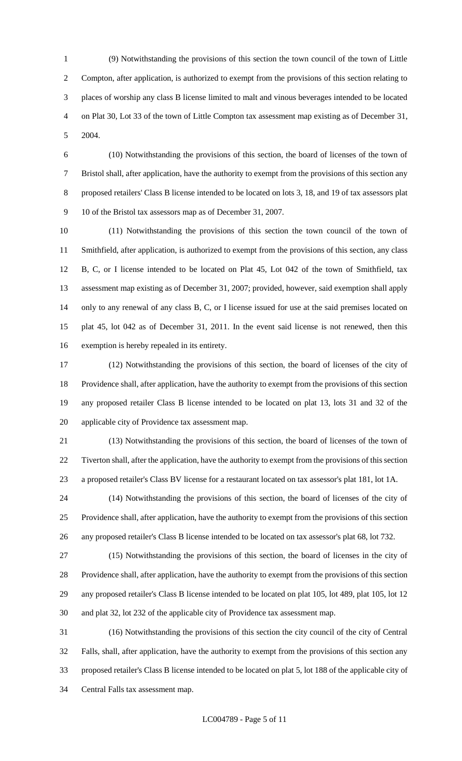(9) Notwithstanding the provisions of this section the town council of the town of Little Compton, after application, is authorized to exempt from the provisions of this section relating to places of worship any class B license limited to malt and vinous beverages intended to be located on Plat 30, Lot 33 of the town of Little Compton tax assessment map existing as of December 31, 2004.

 (10) Notwithstanding the provisions of this section, the board of licenses of the town of Bristol shall, after application, have the authority to exempt from the provisions of this section any proposed retailers' Class B license intended to be located on lots 3, 18, and 19 of tax assessors plat 10 of the Bristol tax assessors map as of December 31, 2007.

 (11) Notwithstanding the provisions of this section the town council of the town of Smithfield, after application, is authorized to exempt from the provisions of this section, any class B, C, or I license intended to be located on Plat 45, Lot 042 of the town of Smithfield, tax assessment map existing as of December 31, 2007; provided, however, said exemption shall apply only to any renewal of any class B, C, or I license issued for use at the said premises located on plat 45, lot 042 as of December 31, 2011. In the event said license is not renewed, then this exemption is hereby repealed in its entirety.

 (12) Notwithstanding the provisions of this section, the board of licenses of the city of Providence shall, after application, have the authority to exempt from the provisions of this section any proposed retailer Class B license intended to be located on plat 13, lots 31 and 32 of the applicable city of Providence tax assessment map.

 (13) Notwithstanding the provisions of this section, the board of licenses of the town of Tiverton shall, after the application, have the authority to exempt from the provisions of this section a proposed retailer's Class BV license for a restaurant located on tax assessor's plat 181, lot 1A.

 (14) Notwithstanding the provisions of this section, the board of licenses of the city of Providence shall, after application, have the authority to exempt from the provisions of this section any proposed retailer's Class B license intended to be located on tax assessor's plat 68, lot 732.

 (15) Notwithstanding the provisions of this section, the board of licenses in the city of Providence shall, after application, have the authority to exempt from the provisions of this section any proposed retailer's Class B license intended to be located on plat 105, lot 489, plat 105, lot 12 and plat 32, lot 232 of the applicable city of Providence tax assessment map.

 (16) Notwithstanding the provisions of this section the city council of the city of Central Falls, shall, after application, have the authority to exempt from the provisions of this section any proposed retailer's Class B license intended to be located on plat 5, lot 188 of the applicable city of Central Falls tax assessment map.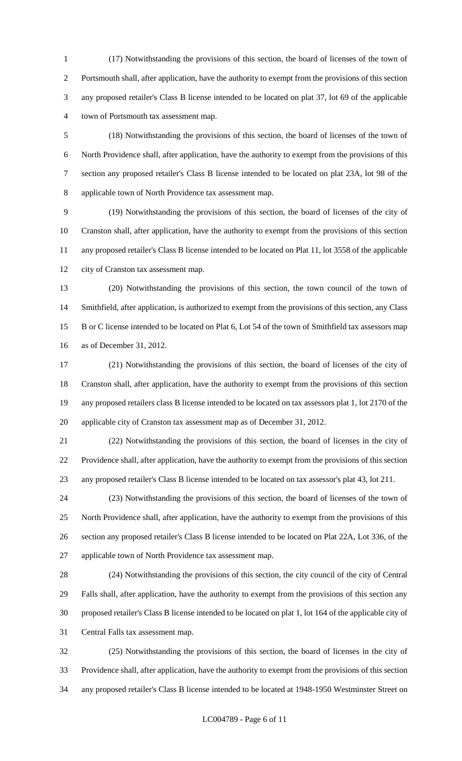(17) Notwithstanding the provisions of this section, the board of licenses of the town of Portsmouth shall, after application, have the authority to exempt from the provisions of this section any proposed retailer's Class B license intended to be located on plat 37, lot 69 of the applicable town of Portsmouth tax assessment map.

 (18) Notwithstanding the provisions of this section, the board of licenses of the town of North Providence shall, after application, have the authority to exempt from the provisions of this section any proposed retailer's Class B license intended to be located on plat 23A, lot 98 of the applicable town of North Providence tax assessment map.

 (19) Notwithstanding the provisions of this section, the board of licenses of the city of Cranston shall, after application, have the authority to exempt from the provisions of this section any proposed retailer's Class B license intended to be located on Plat 11, lot 3558 of the applicable city of Cranston tax assessment map.

 (20) Notwithstanding the provisions of this section, the town council of the town of Smithfield, after application, is authorized to exempt from the provisions of this section, any Class B or C license intended to be located on Plat 6, Lot 54 of the town of Smithfield tax assessors map as of December 31, 2012.

 (21) Notwithstanding the provisions of this section, the board of licenses of the city of Cranston shall, after application, have the authority to exempt from the provisions of this section any proposed retailers class B license intended to be located on tax assessors plat 1, lot 2170 of the applicable city of Cranston tax assessment map as of December 31, 2012.

 (22) Notwithstanding the provisions of this section, the board of licenses in the city of Providence shall, after application, have the authority to exempt from the provisions of this section any proposed retailer's Class B license intended to be located on tax assessor's plat 43, lot 211.

 (23) Notwithstanding the provisions of this section, the board of licenses of the town of North Providence shall, after application, have the authority to exempt from the provisions of this section any proposed retailer's Class B license intended to be located on Plat 22A, Lot 336, of the applicable town of North Providence tax assessment map.

 (24) Notwithstanding the provisions of this section, the city council of the city of Central Falls shall, after application, have the authority to exempt from the provisions of this section any proposed retailer's Class B license intended to be located on plat 1, lot 164 of the applicable city of Central Falls tax assessment map.

 (25) Notwithstanding the provisions of this section, the board of licenses in the city of Providence shall, after application, have the authority to exempt from the provisions of this section any proposed retailer's Class B license intended to be located at 1948-1950 Westminster Street on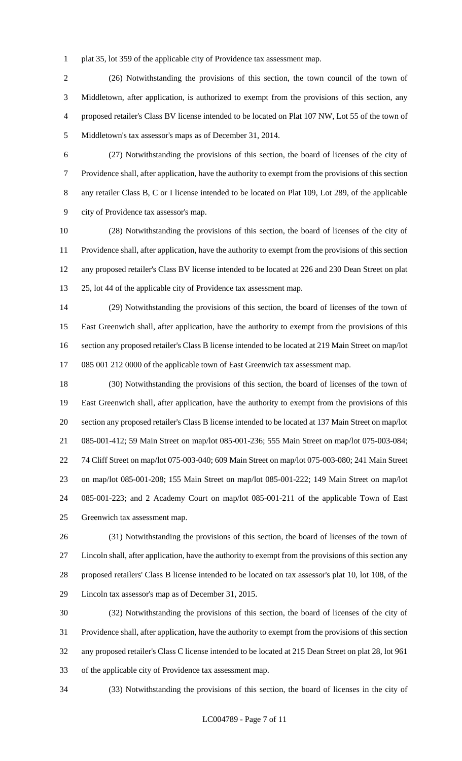plat 35, lot 359 of the applicable city of Providence tax assessment map.

 (26) Notwithstanding the provisions of this section, the town council of the town of Middletown, after application, is authorized to exempt from the provisions of this section, any proposed retailer's Class BV license intended to be located on Plat 107 NW, Lot 55 of the town of Middletown's tax assessor's maps as of December 31, 2014.

 (27) Notwithstanding the provisions of this section, the board of licenses of the city of Providence shall, after application, have the authority to exempt from the provisions of this section any retailer Class B, C or I license intended to be located on Plat 109, Lot 289, of the applicable city of Providence tax assessor's map.

 (28) Notwithstanding the provisions of this section, the board of licenses of the city of Providence shall, after application, have the authority to exempt from the provisions of this section any proposed retailer's Class BV license intended to be located at 226 and 230 Dean Street on plat 25, lot 44 of the applicable city of Providence tax assessment map.

 (29) Notwithstanding the provisions of this section, the board of licenses of the town of East Greenwich shall, after application, have the authority to exempt from the provisions of this section any proposed retailer's Class B license intended to be located at 219 Main Street on map/lot 085 001 212 0000 of the applicable town of East Greenwich tax assessment map.

 (30) Notwithstanding the provisions of this section, the board of licenses of the town of East Greenwich shall, after application, have the authority to exempt from the provisions of this section any proposed retailer's Class B license intended to be located at 137 Main Street on map/lot 085-001-412; 59 Main Street on map/lot 085-001-236; 555 Main Street on map/lot 075-003-084; 74 Cliff Street on map/lot 075-003-040; 609 Main Street on map/lot 075-003-080; 241 Main Street on map/lot 085-001-208; 155 Main Street on map/lot 085-001-222; 149 Main Street on map/lot 085-001-223; and 2 Academy Court on map/lot 085-001-211 of the applicable Town of East Greenwich tax assessment map.

 (31) Notwithstanding the provisions of this section, the board of licenses of the town of Lincoln shall, after application, have the authority to exempt from the provisions of this section any proposed retailers' Class B license intended to be located on tax assessor's plat 10, lot 108, of the Lincoln tax assessor's map as of December 31, 2015.

 (32) Notwithstanding the provisions of this section, the board of licenses of the city of Providence shall, after application, have the authority to exempt from the provisions of this section any proposed retailer's Class C license intended to be located at 215 Dean Street on plat 28, lot 961 of the applicable city of Providence tax assessment map.

(33) Notwithstanding the provisions of this section, the board of licenses in the city of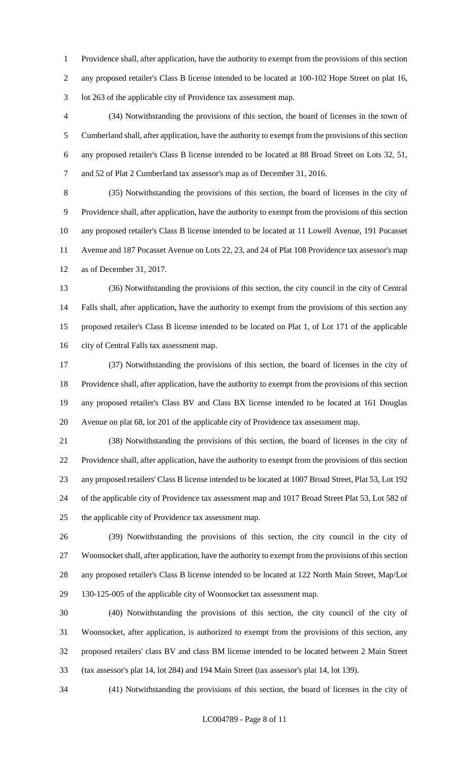Providence shall, after application, have the authority to exempt from the provisions of this section any proposed retailer's Class B license intended to be located at 100-102 Hope Street on plat 16, lot 263 of the applicable city of Providence tax assessment map.

 (34) Notwithstanding the provisions of this section, the board of licenses in the town of Cumberland shall, after application, have the authority to exempt from the provisions of this section any proposed retailer's Class B license intended to be located at 88 Broad Street on Lots 32, 51, and 52 of Plat 2 Cumberland tax assessor's map as of December 31, 2016.

 (35) Notwithstanding the provisions of this section, the board of licenses in the city of Providence shall, after application, have the authority to exempt from the provisions of this section any proposed retailer's Class B license intended to be located at 11 Lowell Avenue, 191 Pocasset Avenue and 187 Pocasset Avenue on Lots 22, 23, and 24 of Plat 108 Providence tax assessor's map as of December 31, 2017.

 (36) Notwithstanding the provisions of this section, the city council in the city of Central Falls shall, after application, have the authority to exempt from the provisions of this section any proposed retailer's Class B license intended to be located on Plat 1, of Lot 171 of the applicable city of Central Falls tax assessment map.

 (37) Notwithstanding the provisions of this section, the board of licenses in the city of Providence shall, after application, have the authority to exempt from the provisions of this section any proposed retailer's Class BV and Class BX license intended to be located at 161 Douglas Avenue on plat 68, lot 201 of the applicable city of Providence tax assessment map.

 (38) Notwithstanding the provisions of this section, the board of licenses in the city of Providence shall, after application, have the authority to exempt from the provisions of this section any proposed retailers' Class B license intended to be located at 1007 Broad Street, Plat 53, Lot 192 of the applicable city of Providence tax assessment map and 1017 Broad Street Plat 53, Lot 582 of the applicable city of Providence tax assessment map.

 (39) Notwithstanding the provisions of this section, the city council in the city of Woonsocket shall, after application, have the authority to exempt from the provisions of this section any proposed retailer's Class B license intended to be located at 122 North Main Street, Map/Lot 130-125-005 of the applicable city of Woonsocket tax assessment map.

 (40) Notwithstanding the provisions of this section, the city council of the city of Woonsocket, after application, is authorized to exempt from the provisions of this section, any proposed retailers' class BV and class BM license intended to be located between 2 Main Street (tax assessor's plat 14, lot 284) and 194 Main Street (tax assessor's plat 14, lot 139).

(41) Notwithstanding the provisions of this section, the board of licenses in the city of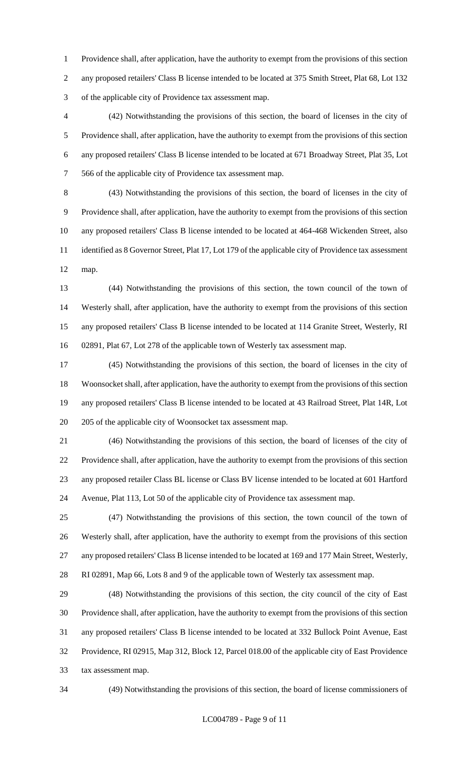Providence shall, after application, have the authority to exempt from the provisions of this section any proposed retailers' Class B license intended to be located at 375 Smith Street, Plat 68, Lot 132 of the applicable city of Providence tax assessment map.

 (42) Notwithstanding the provisions of this section, the board of licenses in the city of Providence shall, after application, have the authority to exempt from the provisions of this section any proposed retailers' Class B license intended to be located at 671 Broadway Street, Plat 35, Lot 566 of the applicable city of Providence tax assessment map.

 (43) Notwithstanding the provisions of this section, the board of licenses in the city of Providence shall, after application, have the authority to exempt from the provisions of this section any proposed retailers' Class B license intended to be located at 464-468 Wickenden Street, also identified as 8 Governor Street, Plat 17, Lot 179 of the applicable city of Providence tax assessment map.

 (44) Notwithstanding the provisions of this section, the town council of the town of Westerly shall, after application, have the authority to exempt from the provisions of this section any proposed retailers' Class B license intended to be located at 114 Granite Street, Westerly, RI 02891, Plat 67, Lot 278 of the applicable town of Westerly tax assessment map.

 (45) Notwithstanding the provisions of this section, the board of licenses in the city of Woonsocket shall, after application, have the authority to exempt from the provisions of this section any proposed retailers' Class B license intended to be located at 43 Railroad Street, Plat 14R, Lot 205 of the applicable city of Woonsocket tax assessment map.

 (46) Notwithstanding the provisions of this section, the board of licenses of the city of Providence shall, after application, have the authority to exempt from the provisions of this section any proposed retailer Class BL license or Class BV license intended to be located at 601 Hartford Avenue, Plat 113, Lot 50 of the applicable city of Providence tax assessment map.

 (47) Notwithstanding the provisions of this section, the town council of the town of Westerly shall, after application, have the authority to exempt from the provisions of this section any proposed retailers' Class B license intended to be located at 169 and 177 Main Street, Westerly, RI 02891, Map 66, Lots 8 and 9 of the applicable town of Westerly tax assessment map.

 (48) Notwithstanding the provisions of this section, the city council of the city of East Providence shall, after application, have the authority to exempt from the provisions of this section any proposed retailers' Class B license intended to be located at 332 Bullock Point Avenue, East Providence, RI 02915, Map 312, Block 12, Parcel 018.00 of the applicable city of East Providence tax assessment map.

(49) Notwithstanding the provisions of this section, the board of license commissioners of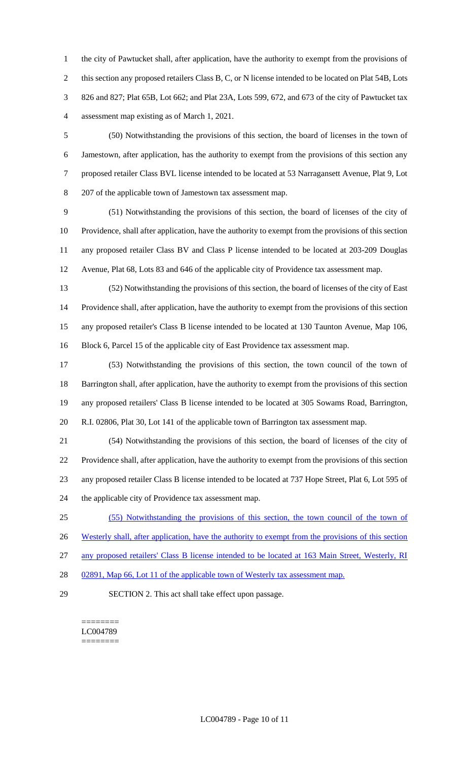the city of Pawtucket shall, after application, have the authority to exempt from the provisions of this section any proposed retailers Class B, C, or N license intended to be located on Plat 54B, Lots 826 and 827; Plat 65B, Lot 662; and Plat 23A, Lots 599, 672, and 673 of the city of Pawtucket tax assessment map existing as of March 1, 2021.

 (50) Notwithstanding the provisions of this section, the board of licenses in the town of Jamestown, after application, has the authority to exempt from the provisions of this section any proposed retailer Class BVL license intended to be located at 53 Narragansett Avenue, Plat 9, Lot 207 of the applicable town of Jamestown tax assessment map.

 (51) Notwithstanding the provisions of this section, the board of licenses of the city of Providence, shall after application, have the authority to exempt from the provisions of this section any proposed retailer Class BV and Class P license intended to be located at 203-209 Douglas Avenue, Plat 68, Lots 83 and 646 of the applicable city of Providence tax assessment map.

 (52) Notwithstanding the provisions of this section, the board of licenses of the city of East Providence shall, after application, have the authority to exempt from the provisions of this section any proposed retailer's Class B license intended to be located at 130 Taunton Avenue, Map 106, Block 6, Parcel 15 of the applicable city of East Providence tax assessment map.

 (53) Notwithstanding the provisions of this section, the town council of the town of Barrington shall, after application, have the authority to exempt from the provisions of this section any proposed retailers' Class B license intended to be located at 305 Sowams Road, Barrington, R.I. 02806, Plat 30, Lot 141 of the applicable town of Barrington tax assessment map.

 (54) Notwithstanding the provisions of this section, the board of licenses of the city of Providence shall, after application, have the authority to exempt from the provisions of this section any proposed retailer Class B license intended to be located at 737 Hope Street, Plat 6, Lot 595 of the applicable city of Providence tax assessment map.

(55) Notwithstanding the provisions of this section, the town council of the town of

26 Westerly shall, after application, have the authority to exempt from the provisions of this section

any proposed retailers' Class B license intended to be located at 163 Main Street, Westerly, RI

28 02891, Map 66, Lot 11 of the applicable town of Westerly tax assessment map.

SECTION 2. This act shall take effect upon passage.

======== LC004789 ========